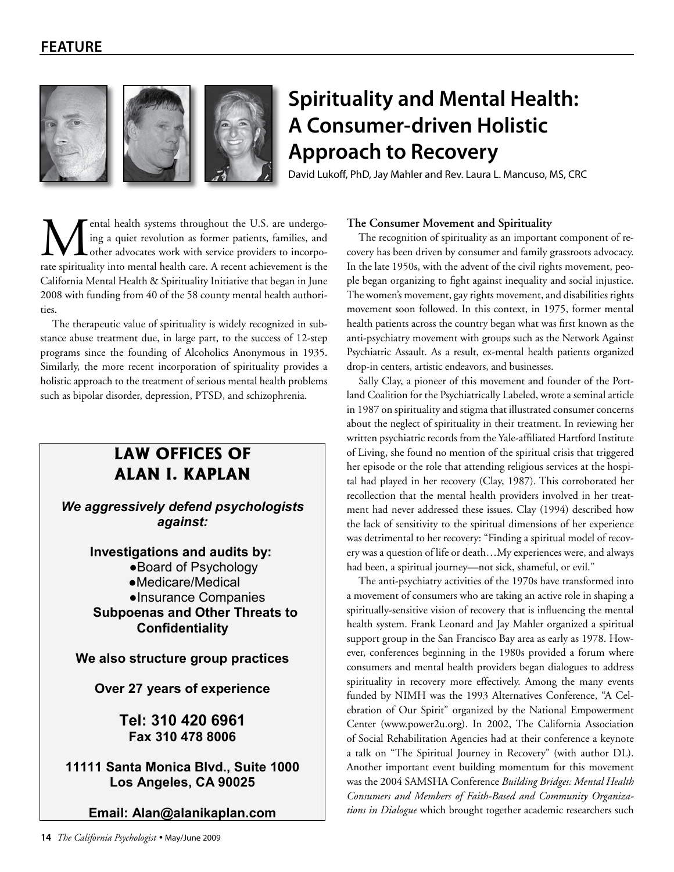



# **Spirituality and Mental Health: A Consumer-driven Holistic Approach to Recovery**

David Lukoff, PhD, Jay Mahler and Rev. Laura L. Mancuso, MS, CRC

ental health systems throughout the U.S. are undergoing a quiet revolution as former patients, families, and other advocates work with service providers to incorporate spirituality into mental health care. A recent achievement is the California Mental Health & Spirituality Initiative that began in June 2008 with funding from 40 of the 58 county mental health authorities.

The therapeutic value of spirituality is widely recognized in substance abuse treatment due, in large part, to the success of 12-step programs since the founding of Alcoholics Anonymous in 1935. Similarly, the more recent incorporation of spirituality provides a holistic approach to the treatment of serious mental health problems such as bipolar disorder, depression, PTSD, and schizophrenia.

## **LAW OFFICES OF ALAN I. KAPLAN**

We aggressively defend psychologists against:

> Investigations and audits by: ●Board of Psychology ●Medicare/Medical ●Insurance Companies **Subpoenas and Other Threats to Confidentiality**

We also structure group practices

Over 27 years of experience

Tel: 310 420 6961 Fax 310 478 8006

11111 Santa Monica Blvd., Suite 1000 Los Angeles, CA 90025

Email: Alan@alanikaplan.com

#### **The Consumer Movement and Spirituality**

The recognition of spirituality as an important component of recovery has been driven by consumer and family grassroots advocacy. In the late 1950s, with the advent of the civil rights movement, people began organizing to fight against inequality and social injustice. The women's movement, gay rights movement, and disabilities rights movement soon followed. In this context, in 1975, former mental health patients across the country began what was first known as the anti-psychiatry movement with groups such as the Network Against Psychiatric Assault. As a result, ex-mental health patients organized drop-in centers, artistic endeavors, and businesses.

Sally Clay, a pioneer of this movement and founder of the Portland Coalition for the Psychiatrically Labeled, wrote a seminal article in 1987 on spirituality and stigma that illustrated consumer concerns about the neglect of spirituality in their treatment. In reviewing her written psychiatric records from the Yale-affiliated Hartford Institute of Living, she found no mention of the spiritual crisis that triggered her episode or the role that attending religious services at the hospital had played in her recovery (Clay, 1987). This corroborated her recollection that the mental health providers involved in her treatment had never addressed these issues. Clay (1994) described how the lack of sensitivity to the spiritual dimensions of her experience was detrimental to her recovery: "Finding a spiritual model of recovery was a question of life or death…My experiences were, and always had been, a spiritual journey—not sick, shameful, or evil."

The anti-psychiatry activities of the 1970s have transformed into a movement of consumers who are taking an active role in shaping a spiritually-sensitive vision of recovery that is influencing the mental health system. Frank Leonard and Jay Mahler organized a spiritual support group in the San Francisco Bay area as early as 1978. However, conferences beginning in the 1980s provided a forum where consumers and mental health providers began dialogues to address spirituality in recovery more effectively. Among the many events funded by NIMH was the 1993 Alternatives Conference, "A Celebration of Our Spirit" organized by the National Empowerment Center (www.power2u.org). In 2002, The California Association of Social Rehabilitation Agencies had at their conference a keynote a talk on "The Spiritual Journey in Recovery" (with author DL). Another important event building momentum for this movement was the 2004 SAMSHA Conference *Building Bridges: Mental Health Consumers and Members of Faith-Based and Community Organizations in Dialogue* which brought together academic researchers such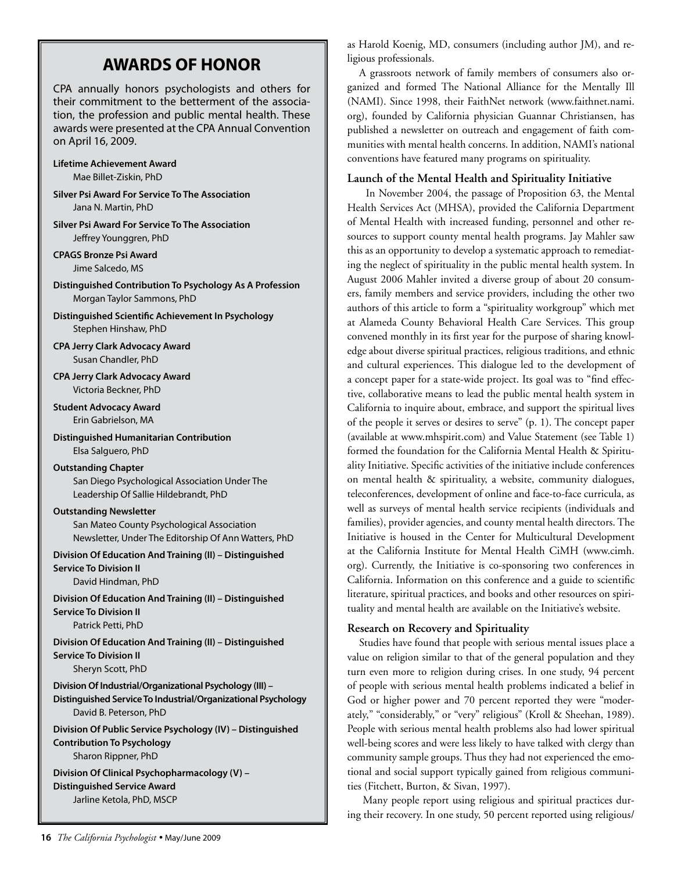# **AWARDS OF HONOR**

CPA annually honors psychologists and others for their commitment to the betterment of the association, the profession and public mental health. These awards were presented at the CPA Annual Convention on April 16, 2009.

**Lifetime Achievement Award** Mae Billet-Ziskin, PhD

**Silver Psi Award For Service To The Association** Jana N. Martin, PhD

**Silver Psi Award For Service To The Association** Jeffrey Younggren, PhD

**CPAGS Bronze Psi Award** Jime Salcedo, MS

**Distinguished Contribution To Psychology As A Profession** Morgan Taylor Sammons, PhD

**Distinguished Scientific Achievement In Psychology** Stephen Hinshaw, PhD

**CPA Jerry Clark Advocacy Award** Susan Chandler, PhD

**CPA Jerry Clark Advocacy Award** Victoria Beckner, PhD

**Student Advocacy Award** Erin Gabrielson, MA

**Distinguished Humanitarian Contribution** Elsa Salguero, PhD

#### **Outstanding Chapter**

San Diego Psychological Association Under The Leadership Of Sallie Hildebrandt, PhD

#### **Outstanding Newsletter**

San Mateo County Psychological Association Newsletter, Under The Editorship Of Ann Watters, PhD

**Division Of Education And Training (II) – Distinguished Service To Division II**

David Hindman, PhD

**Division Of Education And Training (II) – Distinguished Service To Division II** Patrick Petti, PhD

**Division Of Education And Training (II) – Distinguished Service To Division II** Sheryn Scott, PhD

**Division Of Industrial/Organizational Psychology (III) – Distinguished Service To Industrial/Organizational Psychology** David B. Peterson, PhD

**Division Of Public Service Psychology (IV) – Distinguished Contribution To Psychology** Sharon Rippner, PhD

**Division Of Clinical Psychopharmacology (V) – Distinguished Service Award** Jarline Ketola, PhD, MSCP

as Harold Koenig, MD, consumers (including author JM), and religious professionals.

A grassroots network of family members of consumers also organized and formed The National Alliance for the Mentally Ill (NAMI). Since 1998, their FaithNet network (www.faithnet.nami. org), founded by California physician Guannar Christiansen, has published a newsletter on outreach and engagement of faith communities with mental health concerns. In addition, NAMI's national conventions have featured many programs on spirituality.

#### **Launch of the Mental Health and Spirituality Initiative**

 In November 2004, the passage of Proposition 63, the Mental Health Services Act (MHSA), provided the California Department of Mental Health with increased funding, personnel and other resources to support county mental health programs. Jay Mahler saw this as an opportunity to develop a systematic approach to remediating the neglect of spirituality in the public mental health system. In August 2006 Mahler invited a diverse group of about 20 consumers, family members and service providers, including the other two authors of this article to form a "spirituality workgroup" which met at Alameda County Behavioral Health Care Services. This group convened monthly in its first year for the purpose of sharing knowledge about diverse spiritual practices, religious traditions, and ethnic and cultural experiences. This dialogue led to the development of a concept paper for a state-wide project. Its goal was to "find effective, collaborative means to lead the public mental health system in California to inquire about, embrace, and support the spiritual lives of the people it serves or desires to serve" (p. 1). The concept paper (available at www.mhspirit.com) and Value Statement (see Table 1) formed the foundation for the California Mental Health & Spirituality Initiative. Specific activities of the initiative include conferences on mental health & spirituality, a website, community dialogues, teleconferences, development of online and face-to-face curricula, as well as surveys of mental health service recipients (individuals and families), provider agencies, and county mental health directors. The Initiative is housed in the Center for Multicultural Development at the California Institute for Mental Health CiMH (www.cimh. org). Currently, the Initiative is co-sponsoring two conferences in California. Information on this conference and a guide to scientific literature, spiritual practices, and books and other resources on spirituality and mental health are available on the Initiative's website.

#### **Research on Recovery and Spirituality**

Studies have found that people with serious mental issues place a value on religion similar to that of the general population and they turn even more to religion during crises. In one study, 94 percent of people with serious mental health problems indicated a belief in God or higher power and 70 percent reported they were "moderately," "considerably," or "very" religious" (Kroll & Sheehan, 1989). People with serious mental health problems also had lower spiritual well-being scores and were less likely to have talked with clergy than community sample groups. Thus they had not experienced the emotional and social support typically gained from religious communities (Fitchett, Burton, & Sivan, 1997).

 Many people report using religious and spiritual practices during their recovery. In one study, 50 percent reported using religious/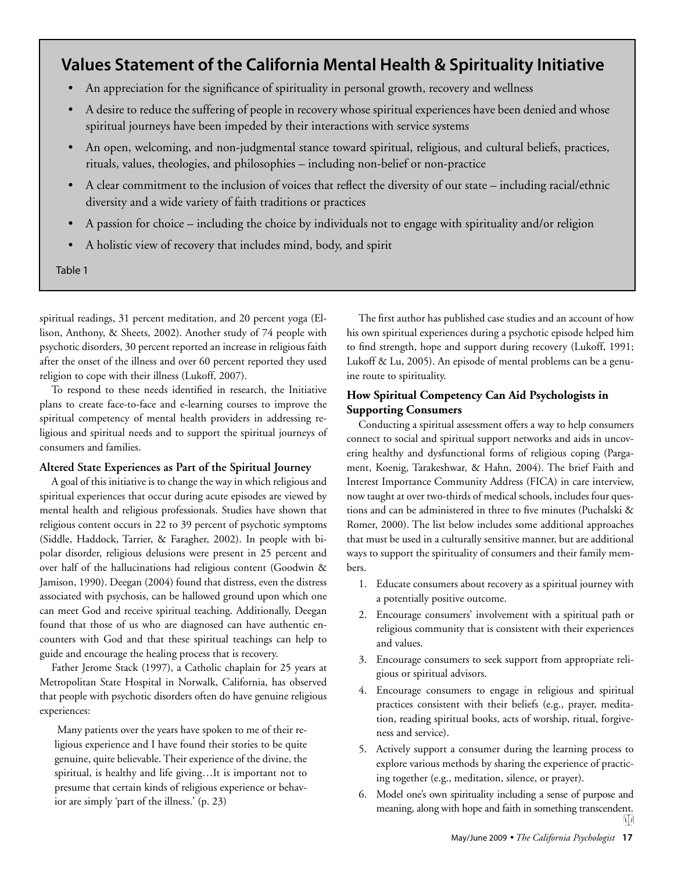## **Values Statement of the California Mental Health & Spirituality Initiative**

- An appreciation for the significance of spirituality in personal growth, recovery and wellness
- A desire to reduce the suffering of people in recovery whose spiritual experiences have been denied and whose spiritual journeys have been impeded by their interactions with service systems
- An open, welcoming, and non-judgmental stance toward spiritual, religious, and cultural beliefs, practices, rituals, values, theologies, and philosophies – including non-belief or non-practice
- A clear commitment to the inclusion of voices that reflect the diversity of our state including racial/ethnic diversity and a wide variety of faith traditions or practices
- A passion for choice including the choice by individuals not to engage with spirituality and/or religion
- A holistic view of recovery that includes mind, body, and spirit

Table 1

spiritual readings, 31 percent meditation, and 20 percent yoga (Ellison, Anthony, & Sheets, 2002). Another study of 74 people with psychotic disorders, 30 percent reported an increase in religious faith after the onset of the illness and over 60 percent reported they used religion to cope with their illness (Lukoff, 2007).

To respond to these needs identified in research, the Initiative plans to create face-to-face and e-learning courses to improve the spiritual competency of mental health providers in addressing religious and spiritual needs and to support the spiritual journeys of consumers and families.

#### **Altered State Experiences as Part of the Spiritual Journey**

A goal of this initiative is to change the way in which religious and spiritual experiences that occur during acute episodes are viewed by mental health and religious professionals. Studies have shown that religious content occurs in 22 to 39 percent of psychotic symptoms (Siddle, Haddock, Tarrier, & Faragher, 2002). In people with bipolar disorder, religious delusions were present in 25 percent and over half of the hallucinations had religious content (Goodwin & Jamison, 1990). Deegan (2004) found that distress, even the distress associated with psychosis, can be hallowed ground upon which one can meet God and receive spiritual teaching. Additionally, Deegan found that those of us who are diagnosed can have authentic encounters with God and that these spiritual teachings can help to guide and encourage the healing process that is recovery.

Father Jerome Stack (1997), a Catholic chaplain for 25 years at Metropolitan State Hospital in Norwalk, California, has observed that people with psychotic disorders often do have genuine religious experiences:

 Many patients over the years have spoken to me of their religious experience and I have found their stories to be quite genuine, quite believable. Their experience of the divine, the spiritual, is healthy and life giving…It is important not to presume that certain kinds of religious experience or behavior are simply 'part of the illness.' (p. 23)

The first author has published case studies and an account of how his own spiritual experiences during a psychotic episode helped him to find strength, hope and support during recovery (Lukoff, 1991; Lukoff & Lu, 2005). An episode of mental problems can be a genuine route to spirituality.

#### **How Spiritual Competency Can Aid Psychologists in Supporting Consumers**

Conducting a spiritual assessment offers a way to help consumers connect to social and spiritual support networks and aids in uncovering healthy and dysfunctional forms of religious coping (Pargament, Koenig, Tarakeshwar, & Hahn, 2004). The brief Faith and Interest Importance Community Address (FICA) in care interview, now taught at over two-thirds of medical schools, includes four questions and can be administered in three to five minutes (Puchalski & Romer, 2000). The list below includes some additional approaches that must be used in a culturally sensitive manner, but are additional ways to support the spirituality of consumers and their family members.

- 1. Educate consumers about recovery as a spiritual journey with a potentially positive outcome.
- 2. Encourage consumers' involvement with a spiritual path or religious community that is consistent with their experiences and values.
- 3. Encourage consumers to seek support from appropriate religious or spiritual advisors.
- 4. Encourage consumers to engage in religious and spiritual practices consistent with their beliefs (e.g., prayer, meditation, reading spiritual books, acts of worship, ritual, forgiveness and service).
- 5. Actively support a consumer during the learning process to explore various methods by sharing the experience of practicing together (e.g., meditation, silence, or prayer).
- 6. Model one's own spirituality including a sense of purpose and meaning, along with hope and faith in something transcendent. 边